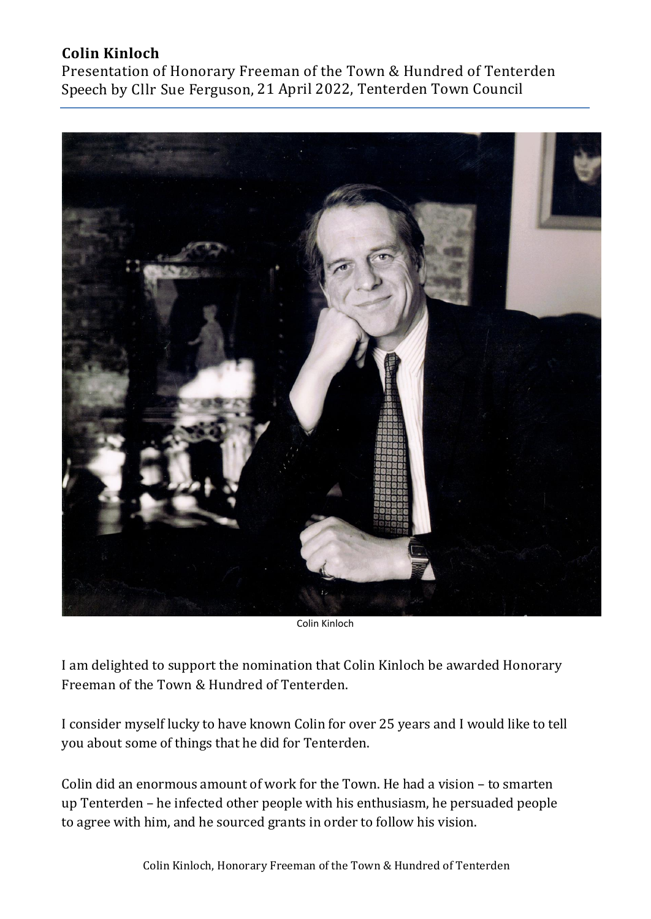## **Colin Kinloch**

Presentation of Honorary Freeman of the Town & Hundred of Tenterden Speech by Cllr Sue Ferguson, 21 April 2022, Tenterden Town Council



Colin Kinloch

I am delighted to support the nomination that Colin Kinloch be awarded Honorary Freeman of the Town & Hundred of Tenterden.

I consider myself lucky to have known Colin for over 25 years and I would like to tell you about some of things that he did for Tenterden.

Colin did an enormous amount of work for the Town. He had a vision – to smarten up Tenterden – he infected other people with his enthusiasm, he persuaded people to agree with him, and he sourced grants in order to follow his vision.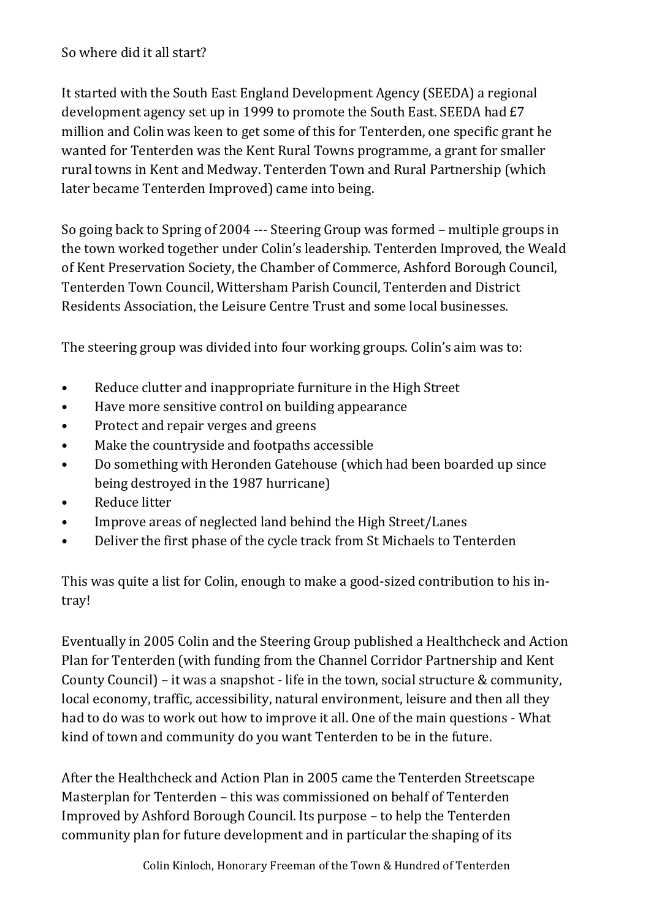So where did it all start?

It started with the South East England Development Agency (SEEDA) a regional development agency set up in 1999 to promote the South East. SEEDA had £7 million and Colin was keen to get some of this for Tenterden, one specific grant he wanted for Tenterden was the Kent Rural Towns programme, a grant for smaller rural towns in Kent and Medway. Tenterden Town and Rural Partnership (which later became Tenterden Improved) came into being.

So going back to Spring of 2004 --- Steering Group was formed – multiple groups in the town worked together under Colin's leadership. Tenterden Improved, the Weald of Kent Preservation Society, the Chamber of Commerce, Ashford Borough Council, Tenterden Town Council, Wittersham Parish Council, Tenterden and District Residents Association, the Leisure Centre Trust and some local businesses.

The steering group was divided into four working groups. Colin's aim was to:

- Reduce clutter and inappropriate furniture in the High Street
- Have more sensitive control on building appearance
- Protect and repair verges and greens
- Make the countryside and footpaths accessible
- Do something with Heronden Gatehouse (which had been boarded up since being destroyed in the 1987 hurricane)
- Reduce litter
- Improve areas of neglected land behind the High Street/Lanes
- Deliver the first phase of the cycle track from St Michaels to Tenterden

This was quite a list for Colin, enough to make a good-sized contribution to his intray!

Eventually in 2005 Colin and the Steering Group published a Healthcheck and Action Plan for Tenterden (with funding from the Channel Corridor Partnership and Kent County Council) – it was a snapshot - life in the town, social structure & community, local economy, traffic, accessibility, natural environment, leisure and then all they had to do was to work out how to improve it all. One of the main questions - What kind of town and community do you want Tenterden to be in the future.

After the Healthcheck and Action Plan in 2005 came the Tenterden Streetscape Masterplan for Tenterden – this was commissioned on behalf of Tenterden Improved by Ashford Borough Council. Its purpose – to help the Tenterden community plan for future development and in particular the shaping of its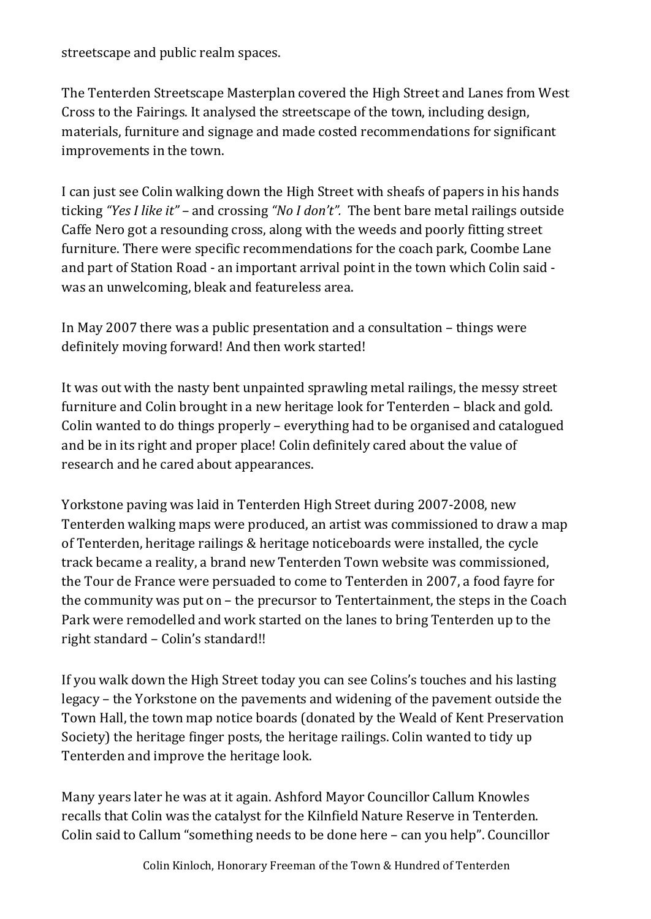streetscape and public realm spaces.

The Tenterden Streetscape Masterplan covered the High Street and Lanes from West Cross to the Fairings. It analysed the streetscape of the town, including design, materials, furniture and signage and made costed recommendations for significant improvements in the town.

I can just see Colin walking down the High Street with sheafs of papers in his hands ticking *"Yes I like it"* – and crossing *"No I don't".* The bent bare metal railings outside Caffe Nero got a resounding cross, along with the weeds and poorly fitting street furniture. There were specific recommendations for the coach park, Coombe Lane and part of Station Road - an important arrival point in the town which Colin said was an unwelcoming, bleak and featureless area.

In May 2007 there was a public presentation and a consultation – things were definitely moving forward! And then work started!

It was out with the nasty bent unpainted sprawling metal railings, the messy street furniture and Colin brought in a new heritage look for Tenterden – black and gold. Colin wanted to do things properly – everything had to be organised and catalogued and be in its right and proper place! Colin definitely cared about the value of research and he cared about appearances.

Yorkstone paving was laid in Tenterden High Street during 2007-2008, new Tenterden walking maps were produced, an artist was commissioned to draw a map of Tenterden, heritage railings & heritage noticeboards were installed, the cycle track became a reality, a brand new Tenterden Town website was commissioned, the Tour de France were persuaded to come to Tenterden in 2007, a food fayre for the community was put on – the precursor to Tentertainment, the steps in the Coach Park were remodelled and work started on the lanes to bring Tenterden up to the right standard – Colin's standard!!

If you walk down the High Street today you can see Colins's touches and his lasting legacy – the Yorkstone on the pavements and widening of the pavement outside the Town Hall, the town map notice boards (donated by the Weald of Kent Preservation Society) the heritage finger posts, the heritage railings. Colin wanted to tidy up Tenterden and improve the heritage look.

Many years later he was at it again. Ashford Mayor Councillor Callum Knowles recalls that Colin was the catalyst for the Kilnfield Nature Reserve in Tenterden. Colin said to Callum "something needs to be done here – can you help". Councillor